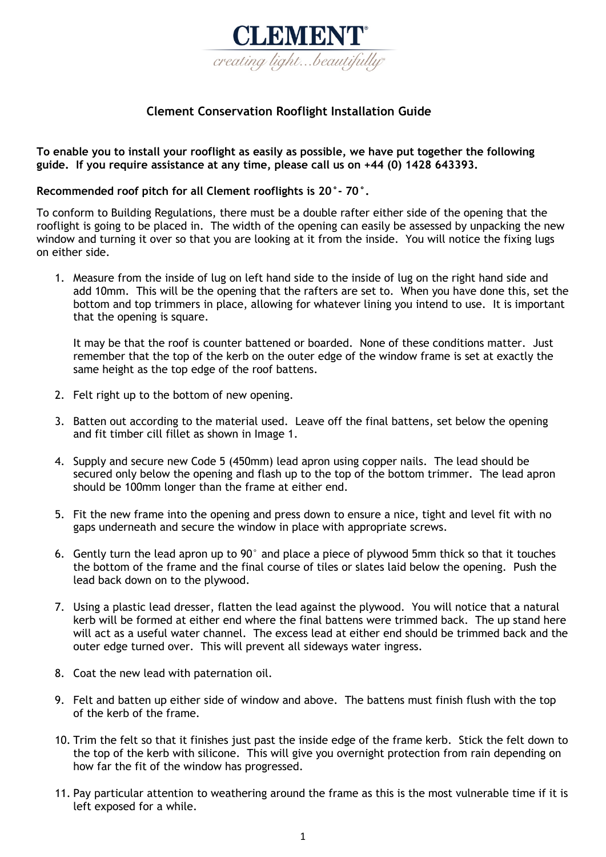

## **Clement Conservation Rooflight Installation Guide**

**To enable you to install your rooflight as easily as possible, we have put together the following guide. If you require assistance at any time, please call us on +44 (0) 1428 643393.** 

## **Recommended roof pitch for all Clement rooflights is 20°- 70°.**

To conform to Building Regulations, there must be a double rafter either side of the opening that the rooflight is going to be placed in. The width of the opening can easily be assessed by unpacking the new window and turning it over so that you are looking at it from the inside. You will notice the fixing lugs on either side.

1. Measure from the inside of lug on left hand side to the inside of lug on the right hand side and add 10mm. This will be the opening that the rafters are set to. When you have done this, set the bottom and top trimmers in place, allowing for whatever lining you intend to use. It is important that the opening is square.

It may be that the roof is counter battened or boarded. None of these conditions matter. Just remember that the top of the kerb on the outer edge of the window frame is set at exactly the same height as the top edge of the roof battens.

- 2. Felt right up to the bottom of new opening.
- 3. Batten out according to the material used. Leave off the final battens, set below the opening and fit timber cill fillet as shown in Image 1.
- 4. Supply and secure new Code 5 (450mm) lead apron using copper nails. The lead should be secured only below the opening and flash up to the top of the bottom trimmer. The lead apron should be 100mm longer than the frame at either end.
- 5. Fit the new frame into the opening and press down to ensure a nice, tight and level fit with no gaps underneath and secure the window in place with appropriate screws.
- 6. Gently turn the lead apron up to 90° and place a piece of plywood 5mm thick so that it touches the bottom of the frame and the final course of tiles or slates laid below the opening. Push the lead back down on to the plywood.
- 7. Using a plastic lead dresser, flatten the lead against the plywood. You will notice that a natural kerb will be formed at either end where the final battens were trimmed back. The up stand here will act as a useful water channel. The excess lead at either end should be trimmed back and the outer edge turned over. This will prevent all sideways water ingress.
- 8. Coat the new lead with paternation oil.
- 9. Felt and batten up either side of window and above. The battens must finish flush with the top of the kerb of the frame.
- 10. Trim the felt so that it finishes just past the inside edge of the frame kerb. Stick the felt down to the top of the kerb with silicone. This will give you overnight protection from rain depending on how far the fit of the window has progressed.
- 11. Pay particular attention to weathering around the frame as this is the most vulnerable time if it is left exposed for a while.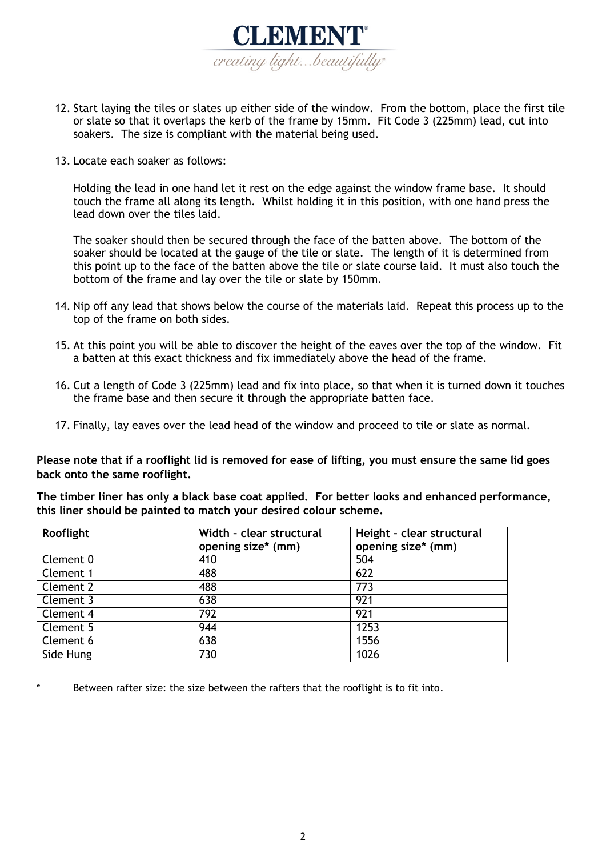

- 12. Start laying the tiles or slates up either side of the window. From the bottom, place the first tile or slate so that it overlaps the kerb of the frame by 15mm. Fit Code 3 (225mm) lead, cut into soakers. The size is compliant with the material being used.
- 13. Locate each soaker as follows:

Holding the lead in one hand let it rest on the edge against the window frame base. It should touch the frame all along its length. Whilst holding it in this position, with one hand press the lead down over the tiles laid.

The soaker should then be secured through the face of the batten above. The bottom of the soaker should be located at the gauge of the tile or slate. The length of it is determined from this point up to the face of the batten above the tile or slate course laid. It must also touch the bottom of the frame and lay over the tile or slate by 150mm.

- 14. Nip off any lead that shows below the course of the materials laid. Repeat this process up to the top of the frame on both sides.
- 15. At this point you will be able to discover the height of the eaves over the top of the window. Fit a batten at this exact thickness and fix immediately above the head of the frame.
- 16. Cut a length of Code 3 (225mm) lead and fix into place, so that when it is turned down it touches the frame base and then secure it through the appropriate batten face.
- 17. Finally, lay eaves over the lead head of the window and proceed to tile or slate as normal.

**Please note that if a rooflight lid is removed for ease of lifting, you must ensure the same lid goes back onto the same rooflight.** 

**The timber liner has only a black base coat applied. For better looks and enhanced performance, this liner should be painted to match your desired colour scheme.** 

| Rooflight | Width - clear structural | Height - clear structural |
|-----------|--------------------------|---------------------------|
|           | opening size* (mm)       | opening size* (mm)        |
| Clement 0 | 410                      | 504                       |
| Clement 1 | 488                      | 622                       |
| Clement 2 | 488                      | 773                       |
| Clement 3 | 638                      | 921                       |
| Clement 4 | 792                      | 921                       |
| Clement 5 | 944                      | 1253                      |
| Clement 6 | 638                      | 1556                      |
| Side Hung | 730                      | 1026                      |

Between rafter size: the size between the rafters that the rooflight is to fit into.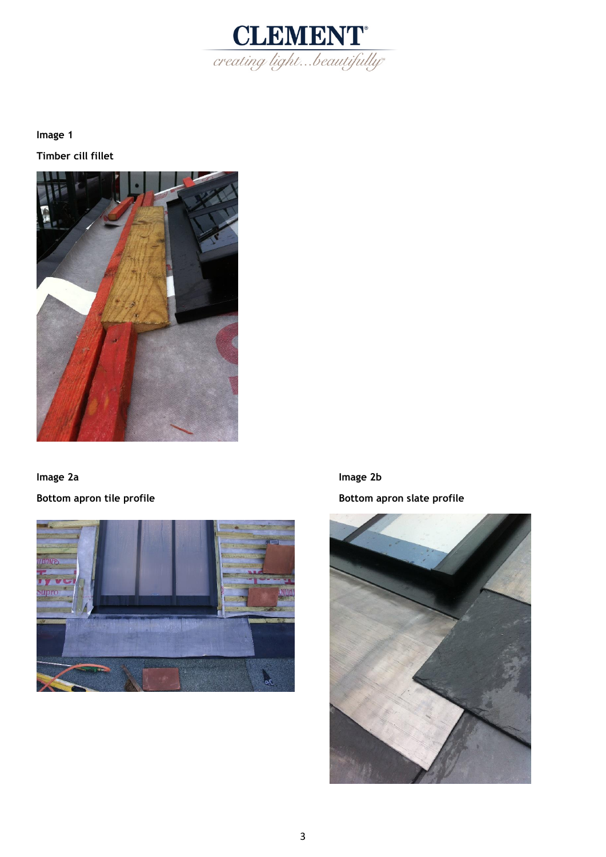

**Image 1 Timber cill fillet** 



**Image 2a Image 2b Bottom apron tile profile and all results and appropriate Bottom apron slate profile** 



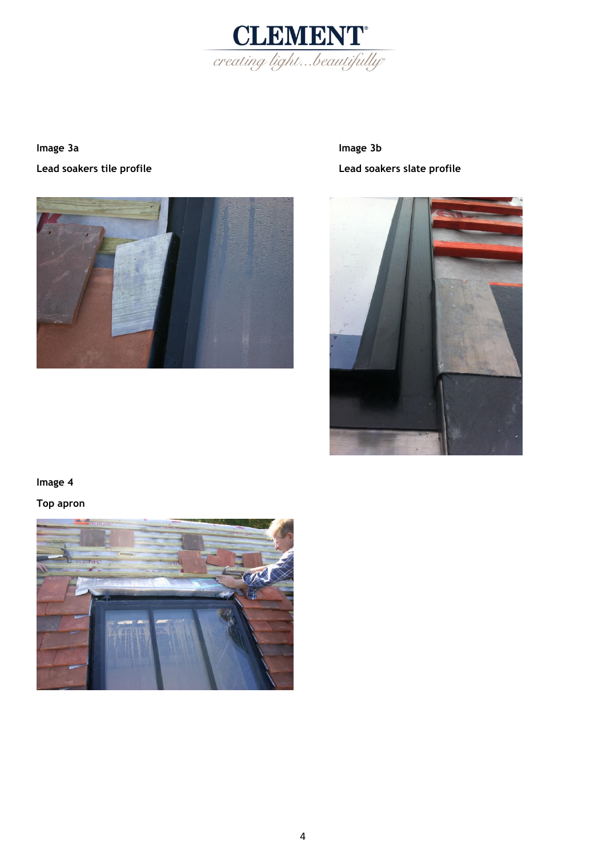

**Image 3a Image 3b Image 3b** 



**Lead soakers tile profile Lead soakers slate profile** 



## **Image 4**

**Top apron** 

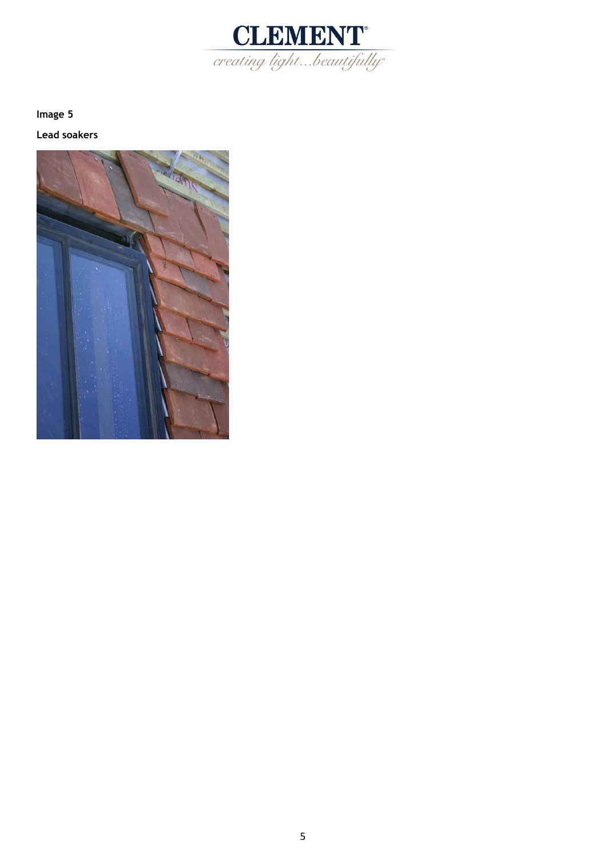

**Image 5** 

**Lead soakers**